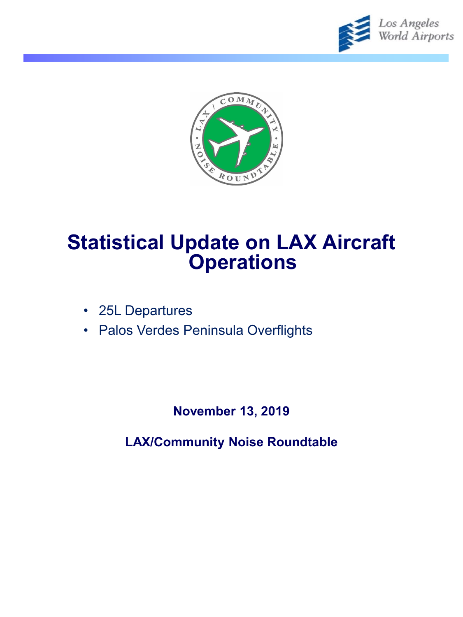



# **Statistical Update on LAX Aircraft Operations**

- 25L Departures
- Palos Verdes Peninsula Overflights

**November 13, 2019**

**LAX/Community Noise Roundtable**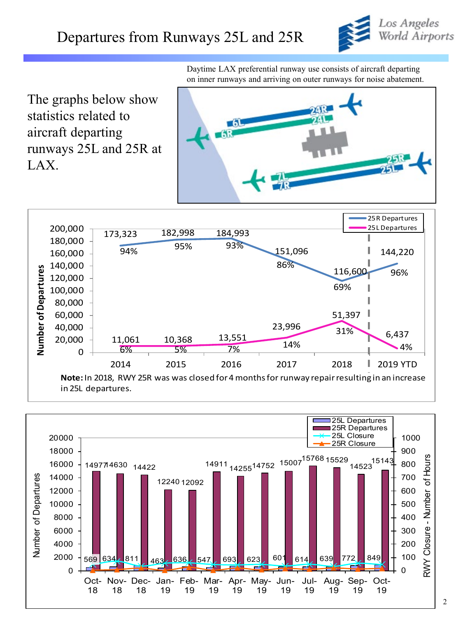

Daytime LAX preferential runway use consists of aircraft departing on inner runways and arriving on outer runways for noise abatement.

The graphs below show statistics related to aircraft departing runways 25L and 25R at LAX.





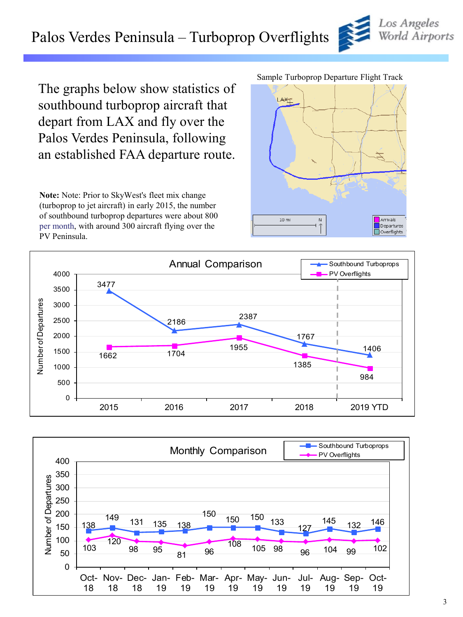# Palos Verdes Peninsula – Turboprop Overflights

The graphs below show statistics of southbound turboprop aircraft that depart from LAX and fly over the Palos Verdes Peninsula, following an established FAA departure route.

**Note:** Note: Prior to SkyWest's fleet mix change (turboprop to jet aircraft) in early 2015, the number of southbound turboprop departures were about 800 per month, with around 300 aircraft flying over the PV Peninsula.

#### Sample Turboprop Departure Flight Track

LAXT







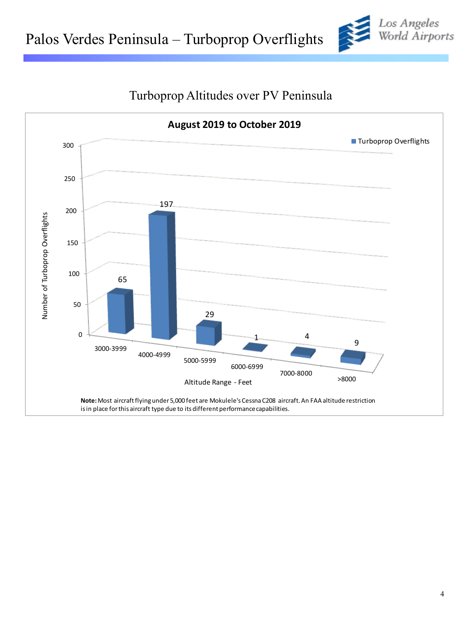



## Turboprop Altitudes over PV Peninsula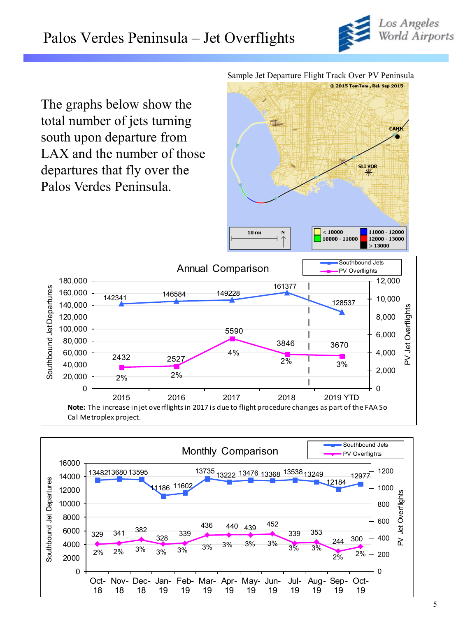

The graphs below show the total number of jets turning south upon departure from LAX and the number of those departures that fly over the Palos Verdes Peninsula.